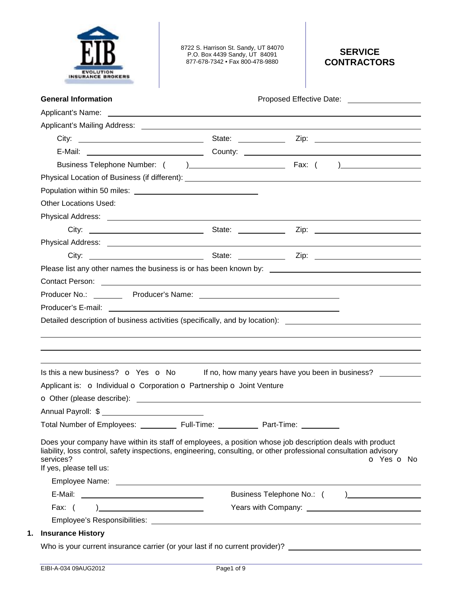

8722 S. Harrison St. Sandy, UT 84070 P.O. Box 4439 Sandy, UT 84091 877-678-7342 • Fax 800-478-9880

# **SERVICE CONTRACTORS**

| <b>General Information</b>                                                                                                                                                                                                                                             | Proposed Effective Date: _____________________ |            |
|------------------------------------------------------------------------------------------------------------------------------------------------------------------------------------------------------------------------------------------------------------------------|------------------------------------------------|------------|
| Applicant's Name: <u>example and the set of the set of the set of the set of the set of the set of the set of the set of the set of the set of the set of the set of the set of the set of the set of the set of the set of the </u>                                   |                                                |            |
|                                                                                                                                                                                                                                                                        |                                                |            |
|                                                                                                                                                                                                                                                                        |                                                |            |
|                                                                                                                                                                                                                                                                        |                                                |            |
|                                                                                                                                                                                                                                                                        |                                                |            |
|                                                                                                                                                                                                                                                                        |                                                |            |
|                                                                                                                                                                                                                                                                        |                                                |            |
| Other Locations Used:                                                                                                                                                                                                                                                  |                                                |            |
|                                                                                                                                                                                                                                                                        |                                                |            |
|                                                                                                                                                                                                                                                                        |                                                |            |
|                                                                                                                                                                                                                                                                        |                                                |            |
|                                                                                                                                                                                                                                                                        |                                                |            |
|                                                                                                                                                                                                                                                                        |                                                |            |
|                                                                                                                                                                                                                                                                        |                                                |            |
|                                                                                                                                                                                                                                                                        |                                                |            |
|                                                                                                                                                                                                                                                                        |                                                |            |
|                                                                                                                                                                                                                                                                        |                                                |            |
| Is this a new business? $\bullet$ Yes $\bullet$ No If no, how many years have you been in business?                                                                                                                                                                    |                                                |            |
| Applicant is: o Individual o Corporation o Partnership o Joint Venture                                                                                                                                                                                                 |                                                |            |
| O Other (please describe): <u>example and contract and contract and contract and contract and contract and contract and contract of the set of the set of the set of the set of the set of the set of the set of the set of the </u>                                   |                                                |            |
| Annual Payroll: \$                                                                                                                                                                                                                                                     |                                                |            |
| Total Number of Employees: ___________ Full-Time: _                                                                                                                                                                                                                    | Part-Time: _______                             |            |
| Does your company have within its staff of employees, a position whose job description deals with product<br>liability, loss control, safety inspections, engineering, consulting, or other professional consultation advisory<br>services?<br>If yes, please tell us: |                                                | O Yes O No |
|                                                                                                                                                                                                                                                                        | Business Telephone No.: ()                     |            |
| Fax: $( )$                                                                                                                                                                                                                                                             |                                                |            |
| Employee's Responsibilities: <u>[1989]</u> The contract of the contract of the contract of the contract of the contract of the contract of the contract of the contract of the contract of the contract of the contract of the cont                                    |                                                |            |
|                                                                                                                                                                                                                                                                        |                                                |            |
| <b>Insurance History</b>                                                                                                                                                                                                                                               |                                                |            |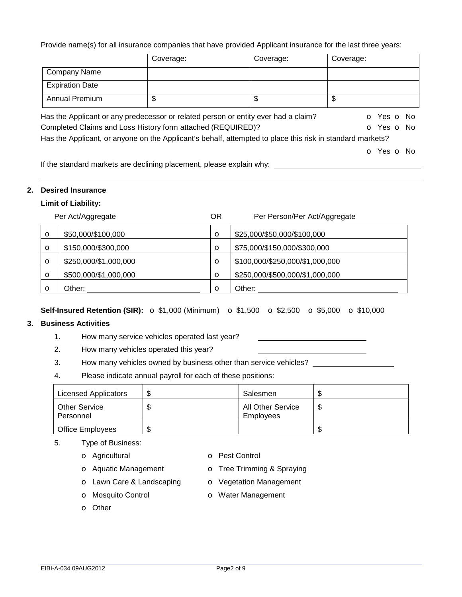Provide name(s) for all insurance companies that have provided Applicant insurance for the last three years:

|                                                                                                           | Coverage: | Coverage: | Coverage:  |
|-----------------------------------------------------------------------------------------------------------|-----------|-----------|------------|
| <b>Company Name</b>                                                                                       |           |           |            |
| <b>Expiration Date</b>                                                                                    |           |           |            |
| <b>Annual Premium</b>                                                                                     | \$        | \$        | \$         |
| Has the Applicant or any predecessor or related person or entity ever had a claim?                        |           |           | O Yes O No |
| Completed Claims and Loss History form attached (REQUIRED)?                                               |           |           | O Yes O No |
| Has the Applicant, or anyone on the Applicant's behalf, attempted to place this risk in standard markets? |           |           |            |
|                                                                                                           |           |           | O Yes O No |

If the standard markets are declining placement, please explain why:

#### **2. Desired Insurance**

#### **Limit of Liability:**

|         | Per Act/Aggregate     | <b>OR</b> | Per Person/Per Act/Aggregate    |
|---------|-----------------------|-----------|---------------------------------|
| $\circ$ | \$50,000/\$100,000    | $\circ$   | \$25,000/\$50,000/\$100,000     |
| $\circ$ | \$150,000/\$300,000   | $\circ$   | \$75,000/\$150,000/\$300,000    |
| $\circ$ | \$250,000/\$1,000,000 | O         | \$100,000/\$250,000/\$1,000,000 |
| $\circ$ | \$500,000/\$1,000,000 | $\circ$   | \$250,000/\$500,000/\$1,000,000 |
| $\circ$ | Other:                | Ο         | Other:                          |

### **Self-Insured Retention (SIR):** o \$1,000 (Minimum) o \$1,500 o \$2,500 o \$5,000 o \$10,000

### **3. Business Activities**

- 1. How many service vehicles operated last year?
- 2. How many vehicles operated this year?
- 3. How many vehicles owned by business other than service vehicles? \_\_\_\_\_\_\_\_\_\_\_\_
- 4. Please indicate annual payroll for each of these positions:

| Licensed Applicators       | S  | Salesmen                       | ۰Д |
|----------------------------|----|--------------------------------|----|
| Other Service<br>Personnel | S  | All Other Service<br>Employees | S  |
| <b>Office Employees</b>    | ß. |                                |    |

- 5. Type of Business:
	- o Agricultural o Pest Control
		-
	- o Aquatic Management **o** Tree Trimming & Spraying
- -
	- o Lawn Care & Landscaping o Vegetation Management
	- o Mosquito Control **o Water Management**
	- o Other
- EIBI-A-034 09AUG2012 Page2 of 9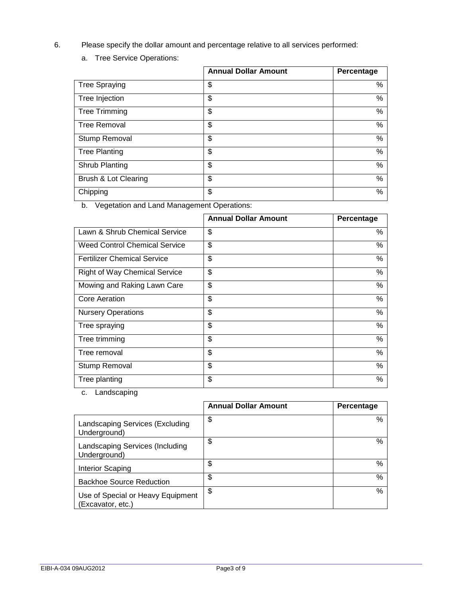- 6. Please specify the dollar amount and percentage relative to all services performed:
	- a. Tree Service Operations:

|                      | <b>Annual Dollar Amount</b> | Percentage |
|----------------------|-----------------------------|------------|
| <b>Tree Spraying</b> | \$                          | %          |
| Tree Injection       | \$                          | %          |
| <b>Tree Trimming</b> | \$                          | %          |
| <b>Tree Removal</b>  | \$                          | %          |
| Stump Removal        | \$                          | %          |
| <b>Tree Planting</b> | \$                          | %          |
| Shrub Planting       | \$                          | $\%$       |
| Brush & Lot Clearing | \$                          | %          |
| Chipping             | \$                          | %          |

b. Vegetation and Land Management Operations:

|                                      | <b>Annual Dollar Amount</b> | Percentage |
|--------------------------------------|-----------------------------|------------|
| Lawn & Shrub Chemical Service        | \$                          | %          |
| <b>Weed Control Chemical Service</b> | \$                          | %          |
| <b>Fertilizer Chemical Service</b>   | \$                          | %          |
| <b>Right of Way Chemical Service</b> | \$                          | %          |
| Mowing and Raking Lawn Care          | \$                          | %          |
| <b>Core Aeration</b>                 | \$                          | %          |
| <b>Nursery Operations</b>            | \$                          | %          |
| Tree spraying                        | \$                          | %          |
| Tree trimming                        | \$                          | %          |
| Tree removal                         | \$                          | %          |
| Stump Removal                        | \$                          | %          |
| Tree planting                        | \$                          | %          |

c. Landscaping

|                                                        | <b>Annual Dollar Amount</b> | <b>Percentage</b> |
|--------------------------------------------------------|-----------------------------|-------------------|
| Landscaping Services (Excluding<br>Underground)        | \$                          | %                 |
| Landscaping Services (Including<br>Underground)        | \$                          | %                 |
| Interior Scaping                                       | \$                          | %                 |
| <b>Backhoe Source Reduction</b>                        | \$                          | %                 |
| Use of Special or Heavy Equipment<br>(Excavator, etc.) | \$                          | %                 |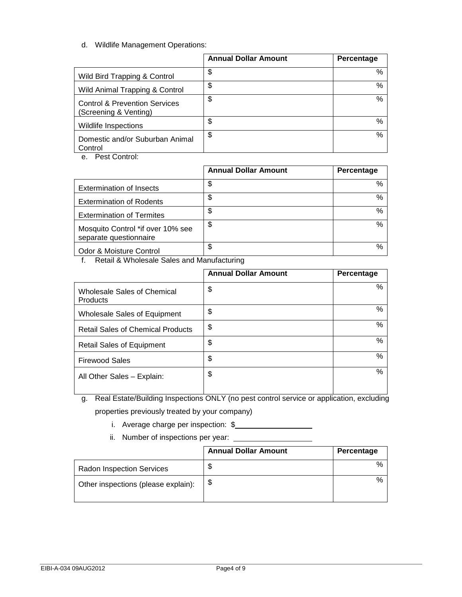d. Wildlife Management Operations:

|                                                                   | <b>Annual Dollar Amount</b> | Percentage |
|-------------------------------------------------------------------|-----------------------------|------------|
| Wild Bird Trapping & Control                                      | \$                          | %          |
| Wild Animal Trapping & Control                                    | \$                          | %          |
| <b>Control &amp; Prevention Services</b><br>(Screening & Venting) | \$                          | %          |
| Wildlife Inspections                                              | \$                          | %          |
| Domestic and/or Suburban Animal<br>Control                        | \$                          | %          |

e. Pest Control:

|                                                             | <b>Annual Dollar Amount</b> | Percentage |
|-------------------------------------------------------------|-----------------------------|------------|
| <b>Extermination of Insects</b>                             | \$                          | %          |
| <b>Extermination of Rodents</b>                             | \$                          | %          |
| <b>Extermination of Termites</b>                            | \$                          | %          |
| Mosquito Control *if over 10% see<br>separate questionnaire | \$                          | %          |
| Odor & Moisture Control                                     | \$                          | %          |

f. Retail & Wholesale Sales and Manufacturing

|                                                       | <b>Annual Dollar Amount</b> | Percentage |
|-------------------------------------------------------|-----------------------------|------------|
| <b>Wholesale Sales of Chemical</b><br><b>Products</b> | \$                          | %          |
| <b>Wholesale Sales of Equipment</b>                   | \$                          | %          |
| <b>Retail Sales of Chemical Products</b>              | \$                          | $\%$       |
| <b>Retail Sales of Equipment</b>                      | \$                          | %          |
| <b>Firewood Sales</b>                                 | \$                          | %          |
| All Other Sales - Explain:                            | \$                          | $\%$       |

- g. Real Estate/Building Inspections ONLY (no pest control service or application, excluding properties previously treated by your company)
	- i. Average charge per inspection: \$
	- ii. Number of inspections per year:

|                                     | <b>Annual Dollar Amount</b> | Percentage |
|-------------------------------------|-----------------------------|------------|
| <b>Radon Inspection Services</b>    | \$                          | %          |
| Other inspections (please explain): | S                           | %          |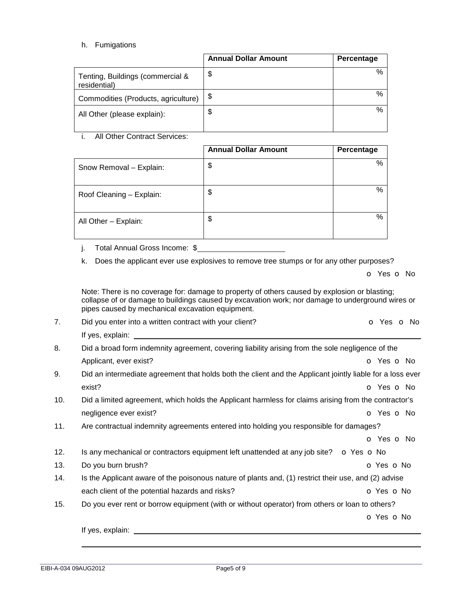EIBI-A-034 09AUG2012 Page5 of 9

## h. Fumigations

|                                                  | <b>Annual Dollar Amount</b> | Percentage |
|--------------------------------------------------|-----------------------------|------------|
| Tenting, Buildings (commercial &<br>residential) | \$                          | %          |
| Commodities (Products, agriculture)              | \$                          | %          |
| All Other (please explain):                      | \$                          | %          |

i. All Other Contract Services:

|                          | <b>Annual Dollar Amount</b> | Percentage |
|--------------------------|-----------------------------|------------|
| Snow Removal - Explain:  | \$                          | %          |
| Roof Cleaning - Explain: | \$                          | %          |
| All Other - Explain:     | \$                          | %          |

j. Total Annual Gross Income: \$

k. Does the applicant ever use explosives to remove tree stumps or for any other purposes?

|  |  | o Yes o No |  |  |  |
|--|--|------------|--|--|--|
|--|--|------------|--|--|--|

Note: There is no coverage for: damage to property of others caused by explosion or blasting; collapse of or damage to buildings caused by excavation work; nor damage to underground wires or pipes caused by mechanical excavation equipment.

| 8.  | Did a broad form indemnity agreement, covering liability arising from the sole negligence of the          |                          |
|-----|-----------------------------------------------------------------------------------------------------------|--------------------------|
|     | Applicant, ever exist?                                                                                    | o Yes o No               |
| 9.  | Did an intermediate agreement that holds both the client and the Applicant jointly liable for a loss ever |                          |
|     | exist?                                                                                                    | <b>o</b> Yes <b>o</b> No |
| 10. | Did a limited agreement, which holds the Applicant harmless for claims arising from the contractor's      |                          |
|     | negligence ever exist?                                                                                    | <b>o</b> Yes <b>o</b> No |
| 11. | Are contractual indemnity agreements entered into holding you responsible for damages?                    |                          |
|     |                                                                                                           | <b>o</b> Yes <b>o</b> No |
| 12. | Is any mechanical or contractors equipment left unattended at any job site?                               | o Yes o No               |
| 13. | Do you burn brush?                                                                                        | <b>O</b> Yes <b>O</b> No |
| 14. | Is the Applicant aware of the poisonous nature of plants and, (1) restrict their use, and (2) advise      |                          |
|     | each client of the potential hazards and risks?                                                           | o Yes o No               |
| 15. | Do you ever rent or borrow equipment (with or without operator) from others or loan to others?            |                          |
|     |                                                                                                           | o Yes o No               |
|     |                                                                                                           |                          |

7. Did you enter into a written contract with your client? **o Solution CO Yes O No**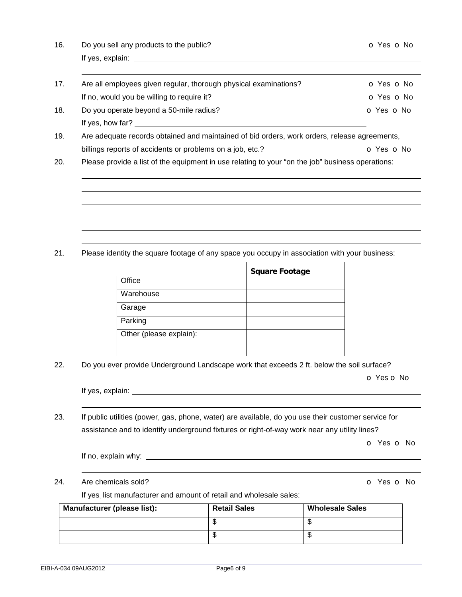| 16. | Do you sell any products to the public? | O Yes O No |
|-----|-----------------------------------------|------------|
|     | If yes, explain:                        |            |
|     |                                         |            |

| 17. | Are all employees given regular, thorough physical examinations? | O Yes O No |
|-----|------------------------------------------------------------------|------------|
|     | If no, would you be willing to require it?                       | O Yes O No |
| 18. | Do you operate beyond a 50-mile radius?                          | O Yes O No |
|     | If yes, how far?                                                 |            |

19. Are adequate records obtained and maintained of bid orders, work orders, release agreements, billings reports of accidents or problems on a job, etc.? **o** Yes **o** No

20. Please provide a list of the equipment in use relating to your "on the job" business operations:

21. Please identity the square footage of any space you occupy in association with your business:

 $\blacksquare$ 

|                         | <b>Square Footage</b> |
|-------------------------|-----------------------|
| Office                  |                       |
| Warehouse               |                       |
| Garage                  |                       |
| Parking                 |                       |
| Other (please explain): |                       |
|                         |                       |

22. Do you ever provide Underground Landscape work that exceeds 2 ft. below the soil surface?

o Yes o No

 

| If yes, explain: |  |
|------------------|--|
|                  |  |

23. If public utilities (power, gas, phone, water) are available, do you use their customer service for assistance and to identify underground fixtures or right-of-way work near any utility lines?

o Yes o No

If no, explain why:

## 24. Are chemicals sold? **o Contract Solution Contract Contract Contract Contract Contract Contract Contract Contract Contract Contract Contract Contract Contract Contract Contract Contract Contract Contract Contract Contra**

If yes, list manufacturer and amount of retail and wholesale sales:

| Manufacturer (please list): | <b>Retail Sales</b> | <b>Wholesale Sales</b> |
|-----------------------------|---------------------|------------------------|
|                             |                     | ۰D                     |
|                             |                     | ۰D                     |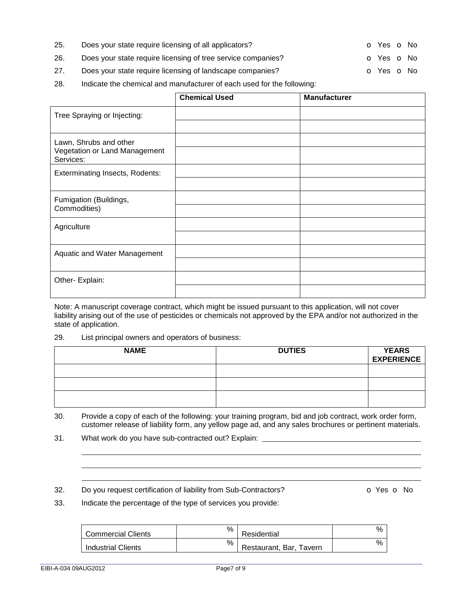33. Indicate the percentage of the type of services you provide:

| <b>Commercial Clients</b> | % | Residential             | % |
|---------------------------|---|-------------------------|---|
| <b>Industrial Clients</b> | % | Restaurant, Bar, Tavern | % |

- 26. Does your state require licensing of tree service companies? **O** Yes **o** No
- 27. Does your state require licensing of landscape companies? **o** Yes **o** No
- 28. Indicate the chemical and manufacturer of each used for the following:

|                                            | <b>Chemical Used</b> | <b>Manufacturer</b> |
|--------------------------------------------|----------------------|---------------------|
| Tree Spraying or Injecting:                |                      |                     |
|                                            |                      |                     |
| Lawn, Shrubs and other                     |                      |                     |
| Vegetation or Land Management<br>Services: |                      |                     |
| <b>Exterminating Insects, Rodents:</b>     |                      |                     |
|                                            |                      |                     |
| Fumigation (Buildings,                     |                      |                     |
| Commodities)                               |                      |                     |
| Agriculture                                |                      |                     |
|                                            |                      |                     |
| Aquatic and Water Management               |                      |                     |
|                                            |                      |                     |
| Other- Explain:                            |                      |                     |
|                                            |                      |                     |

Note: A manuscript coverage contract, which might be issued pursuant to this application, will not cover liability arising out of the use of pesticides or chemicals not approved by the EPA and/or not authorized in the state of application.

### 29. List principal owners and operators of business:

| <b>NAME</b> | <b>DUTIES</b> | <b>YEARS</b><br><b>EXPERIENCE</b> |
|-------------|---------------|-----------------------------------|
|             |               |                                   |
|             |               |                                   |
|             |               |                                   |

30. Provide a copy of each of the following: your training program, bid and job contract, work order form, customer release of liability form, any yellow page ad, and any sales brochures or pertinent materials.

31. What work do you have sub-contracted out? Explain:

25. Does your state require licensing of all applicators? **o Yes o No**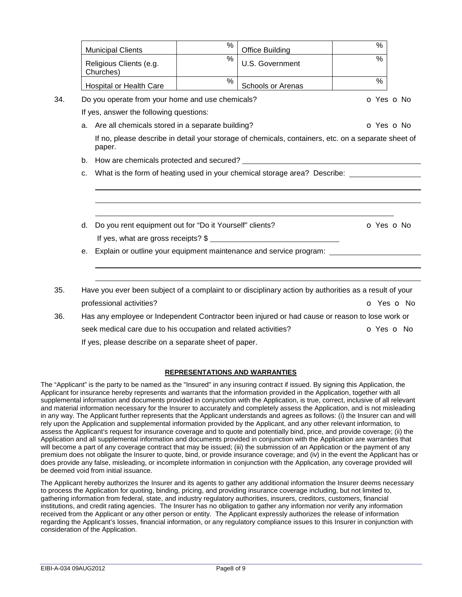|     |    | <b>Municipal Clients</b>                                        | % | <b>Office Building</b>                                                                                 | $\frac{0}{0}$ |  |
|-----|----|-----------------------------------------------------------------|---|--------------------------------------------------------------------------------------------------------|---------------|--|
|     |    | Religious Clients (e.g.<br>Churches)                            | % | U.S. Government                                                                                        | $\%$          |  |
|     |    | Hospital or Health Care                                         | % | Schools or Arenas                                                                                      | %             |  |
| 34. |    | Do you operate from your home and use chemicals?                |   |                                                                                                        | O Yes O No    |  |
|     |    | If yes, answer the following questions:                         |   |                                                                                                        |               |  |
|     |    | a. Are all chemicals stored in a separate building?             |   |                                                                                                        | O Yes O No    |  |
|     |    | paper.                                                          |   | If no, please describe in detail your storage of chemicals, containers, etc. on a separate sheet of    |               |  |
|     | b. |                                                                 |   |                                                                                                        |               |  |
|     | C. |                                                                 |   |                                                                                                        |               |  |
|     | d. | Do you rent equipment out for "Do it Yourself" clients?         |   |                                                                                                        | O Yes O No    |  |
|     |    |                                                                 |   | If yes, what are gross receipts? \$                                                                    |               |  |
|     | е. |                                                                 |   | Explain or outline your equipment maintenance and service program:                                     |               |  |
| 35. |    |                                                                 |   | Have you ever been subject of a complaint to or disciplinary action by authorities as a result of your |               |  |
|     |    | professional activities?                                        |   |                                                                                                        | O Yes O No    |  |
| 36. |    |                                                                 |   | Has any employee or Independent Contractor been injured or had cause or reason to lose work or         |               |  |
|     |    | seek medical care due to his occupation and related activities? |   |                                                                                                        | O Yes O No    |  |
|     |    | If yes, please describe on a separate sheet of paper.           |   |                                                                                                        |               |  |

## **REPRESENTATIONS AND WARRANTIES**

The "Applicant" is the party to be named as the "Insured" in any insuring contract if issued. By signing this Application, the Applicant for insurance hereby represents and warrants that the information provided in the Application, together with all supplemental information and documents provided in conjunction with the Application, is true, correct, inclusive of all relevant and material information necessary for the Insurer to accurately and completely assess the Application, and is not misleading in any way. The Applicant further represents that the Applicant understands and agrees as follows: (i) the Insurer can and will rely upon the Application and supplemental information provided by the Applicant, and any other relevant information, to assess the Applicant's request for insurance coverage and to quote and potentially bind, price, and provide coverage; (ii) the Application and all supplemental information and documents provided in conjunction with the Application are warranties that will become a part of any coverage contract that may be issued; (iii) the submission of an Application or the payment of any premium does not obligate the Insurer to quote, bind, or provide insurance coverage; and (iv) in the event the Applicant has or does provide any false, misleading, or incomplete information in conjunction with the Application, any coverage provided will be deemed void from initial issuance.

The Applicant hereby authorizes the Insurer and its agents to gather any additional information the Insurer deems necessary to process the Application for quoting, binding, pricing, and providing insurance coverage including, but not limited to, gathering information from federal, state, and industry regulatory authorities, insurers, creditors, customers, financial institutions, and credit rating agencies. The Insurer has no obligation to gather any information nor verify any information received from the Applicant or any other person or entity. The Applicant expressly authorizes the release of information regarding the Applicant's losses, financial information, or any regulatory compliance issues to this Insurer in conjunction with consideration of the Application.